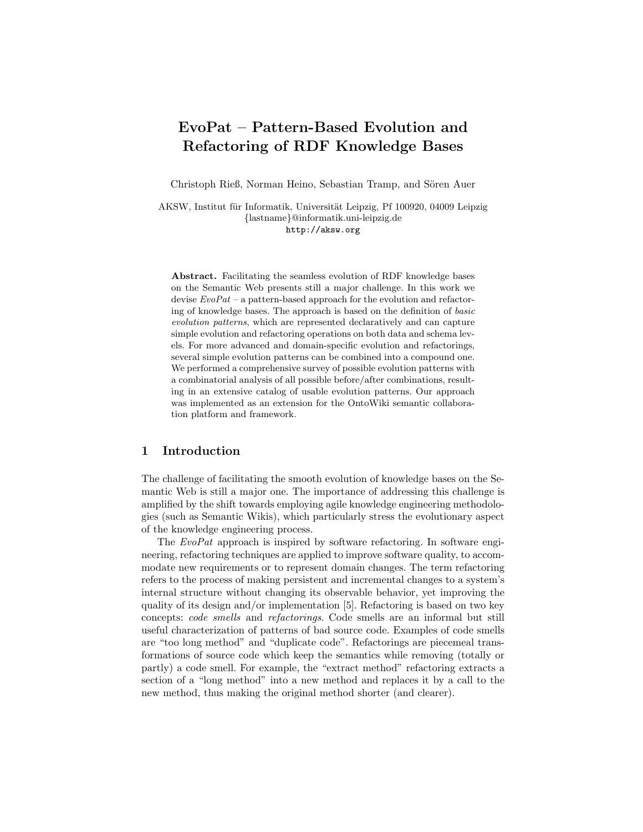# EvoPat – Pattern-Based Evolution and Refactoring of RDF Knowledge Bases

Christoph Rieß, Norman Heino, Sebastian Tramp, and Sören Auer

AKSW, Institut für Informatik, Universität Leipzig, Pf 100920, 04009 Leipzig {lastname}@informatik.uni-leipzig.de http://aksw.org

Abstract. Facilitating the seamless evolution of RDF knowledge bases on the Semantic Web presents still a major challenge. In this work we devise  $EvoPat - a$  pattern-based approach for the evolution and refactoring of knowledge bases. The approach is based on the definition of basic evolution patterns, which are represented declaratively and can capture simple evolution and refactoring operations on both data and schema levels. For more advanced and domain-specific evolution and refactorings, several simple evolution patterns can be combined into a compound one. We performed a comprehensive survey of possible evolution patterns with a combinatorial analysis of all possible before/after combinations, resulting in an extensive catalog of usable evolution patterns. Our approach was implemented as an extension for the OntoWiki semantic collaboration platform and framework.

# 1 Introduction

The challenge of facilitating the smooth evolution of knowledge bases on the Semantic Web is still a major one. The importance of addressing this challenge is amplified by the shift towards employing agile knowledge engineering methodologies (such as Semantic Wikis), which particularly stress the evolutionary aspect of the knowledge engineering process.

The EvoPat approach is inspired by software refactoring. In software engineering, refactoring techniques are applied to improve software quality, to accommodate new requirements or to represent domain changes. The term refactoring refers to the process of making persistent and incremental changes to a system's internal structure without changing its observable behavior, yet improving the quality of its design and/or implementation [5]. Refactoring is based on two key concepts: code smells and refactorings. Code smells are an informal but still useful characterization of patterns of bad source code. Examples of code smells are "too long method" and "duplicate code". Refactorings are piecemeal transformations of source code which keep the semantics while removing (totally or partly) a code smell. For example, the "extract method" refactoring extracts a section of a "long method" into a new method and replaces it by a call to the new method, thus making the original method shorter (and clearer).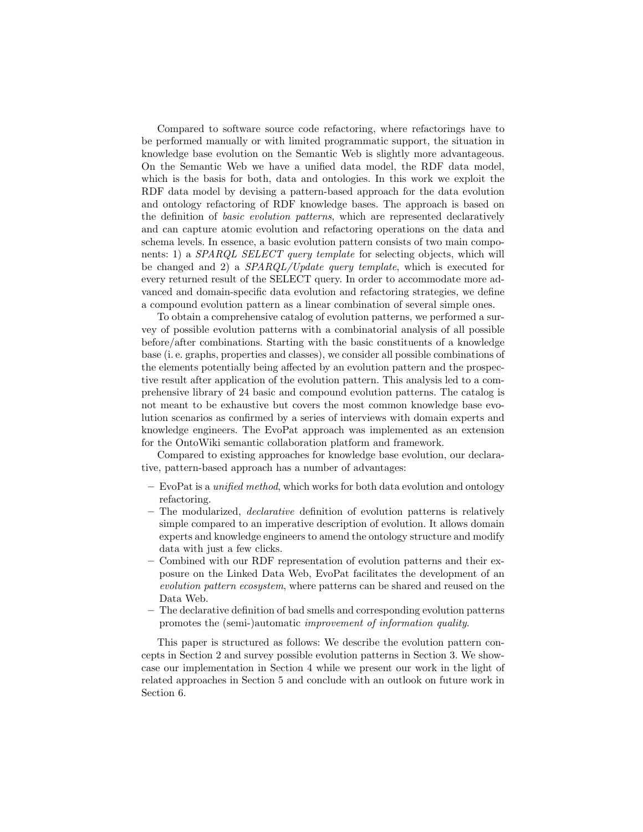Compared to software source code refactoring, where refactorings have to be performed manually or with limited programmatic support, the situation in knowledge base evolution on the Semantic Web is slightly more advantageous. On the Semantic Web we have a unified data model, the RDF data model, which is the basis for both, data and ontologies. In this work we exploit the RDF data model by devising a pattern-based approach for the data evolution and ontology refactoring of RDF knowledge bases. The approach is based on the definition of basic evolution patterns, which are represented declaratively and can capture atomic evolution and refactoring operations on the data and schema levels. In essence, a basic evolution pattern consists of two main components: 1) a SPARQL SELECT query template for selecting objects, which will be changed and 2) a SPARQL/Update query template, which is executed for every returned result of the SELECT query. In order to accommodate more advanced and domain-specific data evolution and refactoring strategies, we define a compound evolution pattern as a linear combination of several simple ones.

To obtain a comprehensive catalog of evolution patterns, we performed a survey of possible evolution patterns with a combinatorial analysis of all possible before/after combinations. Starting with the basic constituents of a knowledge base (i. e. graphs, properties and classes), we consider all possible combinations of the elements potentially being affected by an evolution pattern and the prospective result after application of the evolution pattern. This analysis led to a comprehensive library of 24 basic and compound evolution patterns. The catalog is not meant to be exhaustive but covers the most common knowledge base evolution scenarios as confirmed by a series of interviews with domain experts and knowledge engineers. The EvoPat approach was implemented as an extension for the OntoWiki semantic collaboration platform and framework.

Compared to existing approaches for knowledge base evolution, our declarative, pattern-based approach has a number of advantages:

- $-$  EvoPat is a *unified method*, which works for both data evolution and ontology refactoring.
- $-$  The modularized, *declarative* definition of evolution patterns is relatively simple compared to an imperative description of evolution. It allows domain experts and knowledge engineers to amend the ontology structure and modify data with just a few clicks.
- Combined with our RDF representation of evolution patterns and their exposure on the Linked Data Web, EvoPat facilitates the development of an evolution pattern ecosystem, where patterns can be shared and reused on the Data Web.
- The declarative definition of bad smells and corresponding evolution patterns promotes the (semi-)automatic improvement of information quality.

This paper is structured as follows: We describe the evolution pattern concepts in Section 2 and survey possible evolution patterns in Section 3. We showcase our implementation in Section 4 while we present our work in the light of related approaches in Section 5 and conclude with an outlook on future work in Section 6.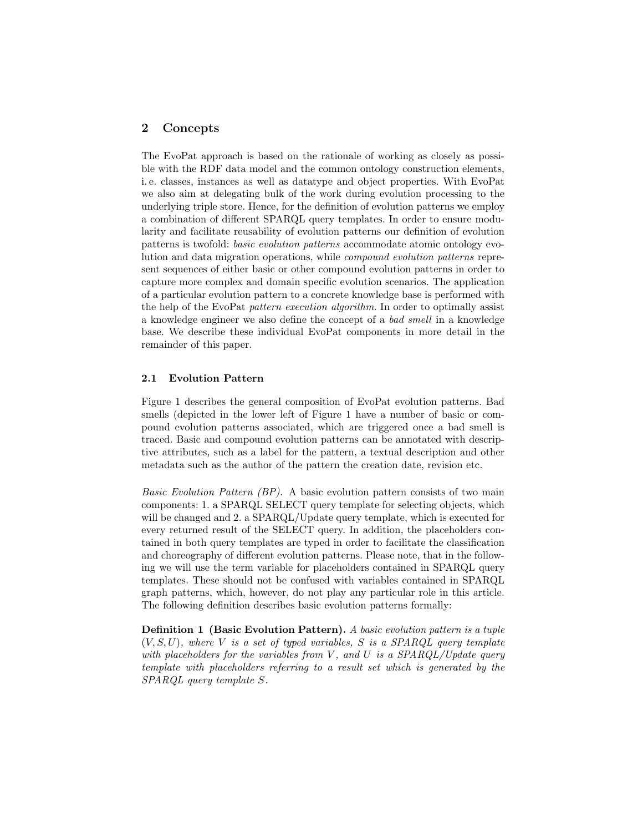# 2 Concepts

The EvoPat approach is based on the rationale of working as closely as possible with the RDF data model and the common ontology construction elements, i. e. classes, instances as well as datatype and object properties. With EvoPat we also aim at delegating bulk of the work during evolution processing to the underlying triple store. Hence, for the definition of evolution patterns we employ a combination of different SPARQL query templates. In order to ensure modularity and facilitate reusability of evolution patterns our definition of evolution patterns is twofold: basic evolution patterns accommodate atomic ontology evolution and data migration operations, while compound evolution patterns represent sequences of either basic or other compound evolution patterns in order to capture more complex and domain specific evolution scenarios. The application of a particular evolution pattern to a concrete knowledge base is performed with the help of the EvoPat pattern execution algorithm. In order to optimally assist a knowledge engineer we also define the concept of a bad smell in a knowledge base. We describe these individual EvoPat components in more detail in the remainder of this paper.

### 2.1 Evolution Pattern

Figure 1 describes the general composition of EvoPat evolution patterns. Bad smells (depicted in the lower left of Figure 1 have a number of basic or compound evolution patterns associated, which are triggered once a bad smell is traced. Basic and compound evolution patterns can be annotated with descriptive attributes, such as a label for the pattern, a textual description and other metadata such as the author of the pattern the creation date, revision etc.

Basic Evolution Pattern (BP). A basic evolution pattern consists of two main components: 1. a SPARQL SELECT query template for selecting objects, which will be changed and 2. a SPARQL/Update query template, which is executed for every returned result of the SELECT query. In addition, the placeholders contained in both query templates are typed in order to facilitate the classification and choreography of different evolution patterns. Please note, that in the following we will use the term variable for placeholders contained in SPARQL query templates. These should not be confused with variables contained in SPARQL graph patterns, which, however, do not play any particular role in this article. The following definition describes basic evolution patterns formally:

Definition 1 (Basic Evolution Pattern). A basic evolution pattern is a tuple  $(V, S, U)$ , where V is a set of typed variables, S is a SPARQL query template with placeholders for the variables from V, and U is a  $SPARQL/Update$  query template with placeholders referring to a result set which is generated by the SPARQL query template S.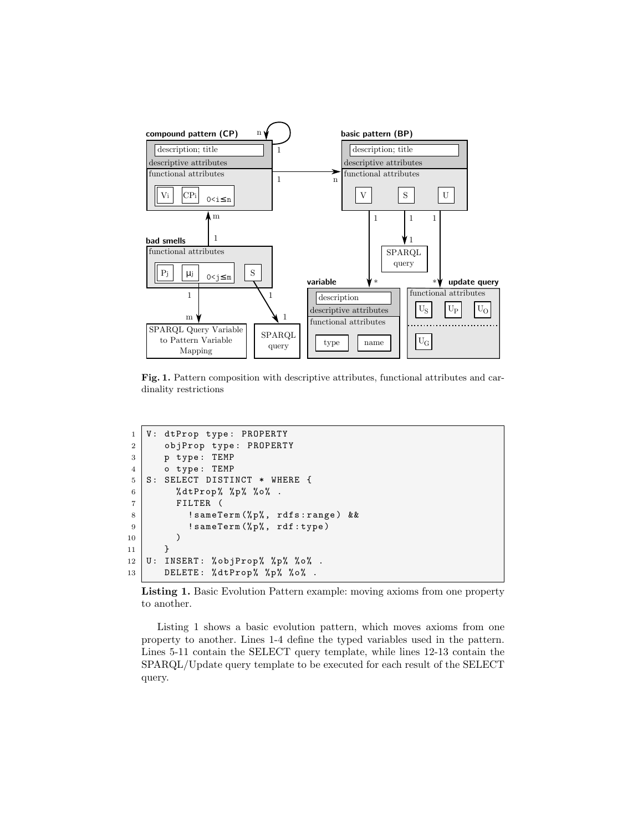

Fig. 1. Pattern composition with descriptive attributes, functional attributes and cardinality restrictions

```
1 V: dtProp type: PROPERTY
2 objProp type: PROPERTY
3 p type : TEMP
4 o type: TEMP
5 S: SELECT DISTINCT * WHERE {
6 % dtProp% % p% % \sim7 FILTER (
8 | sameTerm ({\cal V}_P)^s, rdfs: range) & &
9 | !sameTerm (%p%, rdf:type)
10 )
11 }
12 U: INSERT: % objProp% %p% %o%.
13 DELETE: %dtProp% %p% %o%.
```
Listing 1. Basic Evolution Pattern example: moving axioms from one property to another.

Listing 1 shows a basic evolution pattern, which moves axioms from one property to another. Lines 1-4 define the typed variables used in the pattern. Lines 5-11 contain the SELECT query template, while lines 12-13 contain the SPARQL/Update query template to be executed for each result of the SELECT query.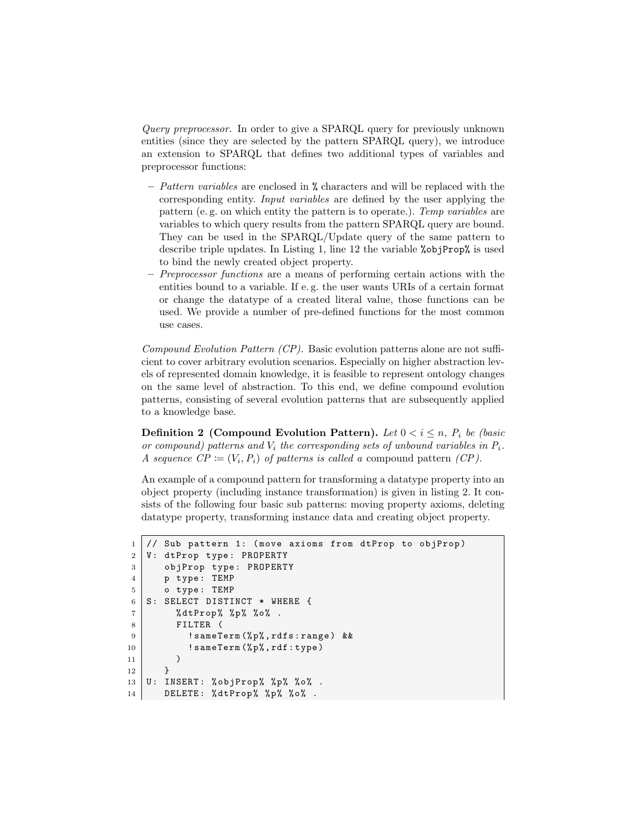Query preprocessor. In order to give a SPARQL query for previously unknown entities (since they are selected by the pattern SPARQL query), we introduce an extension to SPARQL that defines two additional types of variables and preprocessor functions:

- $-$  Pattern variables are enclosed in  $\%$  characters and will be replaced with the corresponding entity. Input variables are defined by the user applying the pattern (e. g. on which entity the pattern is to operate.). Temp variables are variables to which query results from the pattern SPARQL query are bound. They can be used in the SPARQL/Update query of the same pattern to describe triple updates. In Listing 1, line 12 the variable %objProp% is used to bind the newly created object property.
- Preprocessor functions are a means of performing certain actions with the entities bound to a variable. If e. g. the user wants URIs of a certain format or change the datatype of a created literal value, those functions can be used. We provide a number of pre-defined functions for the most common use cases.

Compound Evolution Pattern (CP). Basic evolution patterns alone are not sufficient to cover arbitrary evolution scenarios. Especially on higher abstraction levels of represented domain knowledge, it is feasible to represent ontology changes on the same level of abstraction. To this end, we define compound evolution patterns, consisting of several evolution patterns that are subsequently applied to a knowledge base.

**Definition 2 (Compound Evolution Pattern).** Let  $0 < i \leq n$ ,  $P_i$  be (basic or compound) patterns and  $V_i$  the corresponding sets of unbound variables in  $P_i$ . A sequence  $\mathbb{CP} \coloneqq (V_i, P_i)$  of patterns is called a compound pattern  $(\mathbb{CP})$ .

An example of a compound pattern for transforming a datatype property into an object property (including instance transformation) is given in listing 2. It consists of the following four basic sub patterns: moving property axioms, deleting datatype property, transforming instance data and creating object property.

```
1 // Sub pattern 1: (move axioms from dtProp to objProp)
2 | V: dtProp type: PROPERTY
3 objProp type: PROPERTY
4 p type: TEMP
5 o type: TEMP
6 S: SELECT DISTINCT * WHERE {
7 % dtProp % % p % % o % .
8 FILTER (
9 | SameTerm (% p%, rdfs: range) & &
10 | sameTerm (%p%, rdf: type)
11 )
12 }
13 U: INSERT: % objProp% %p% %o%.
14 DELETE: %dtProp% %p% %0%.
```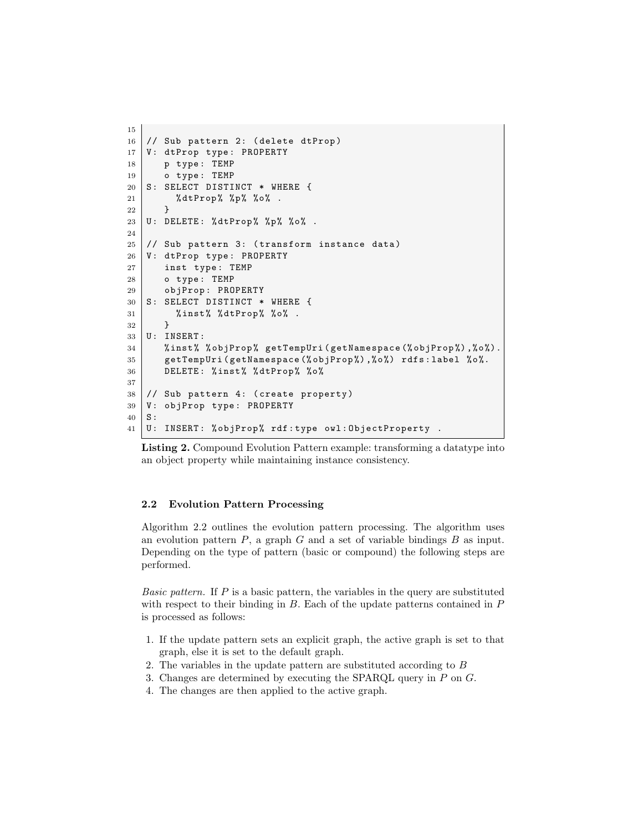```
15
16 \frac{\ }{\ } // Sub pattern 2: (delete dtProp)
17 V: dtProp type: PROPERTY
18 p type: TEMP
19 o type: TEMP
20 S: SELECT DISTINCT * WHERE {
21 % dtProp% % p% % \circ%.
22 }
23 U: DELETE: %dtProp% %p% %o%.
24
25 \frac{1}{1} Sub pattern 3: (transform instance data)
26 V: dtProp type: PROPERTY
27 inst type: TEMP
28 o type: TEMP
29 | objProp: PROPERTY
30 S: SELECT DISTINCT * WHERE {
31 %inst% %dtProp% %0%.
32 }
33 U: INSERT :
34 % inst % % objProp % getTempUri ( getNamespace (% objProp %) ,% o %).
35 getTempUri ( getNamespace (% objProp%), % o%) rdfs: label % o%.
36 DELETE: %inst% %dtProp% %0%
37
38 // Sub pattern 4: ( create property )
39 V: objProp type: PROPERTY
40 \mid S:
41 | U: INSERT: %objProp% rdf:type owl:ObjectProperty.
```
Listing 2. Compound Evolution Pattern example: transforming a datatype into an object property while maintaining instance consistency.

## 2.2 Evolution Pattern Processing

Algorithm 2.2 outlines the evolution pattern processing. The algorithm uses an evolution pattern  $P$ , a graph  $G$  and a set of variable bindings  $B$  as input. Depending on the type of pattern (basic or compound) the following steps are performed.

Basic pattern. If P is a basic pattern, the variables in the query are substituted with respect to their binding in  $B$ . Each of the update patterns contained in  $P$ is processed as follows:

- 1. If the update pattern sets an explicit graph, the active graph is set to that graph, else it is set to the default graph.
- 2. The variables in the update pattern are substituted according to B
- 3. Changes are determined by executing the SPARQL query in P on G.
- 4. The changes are then applied to the active graph.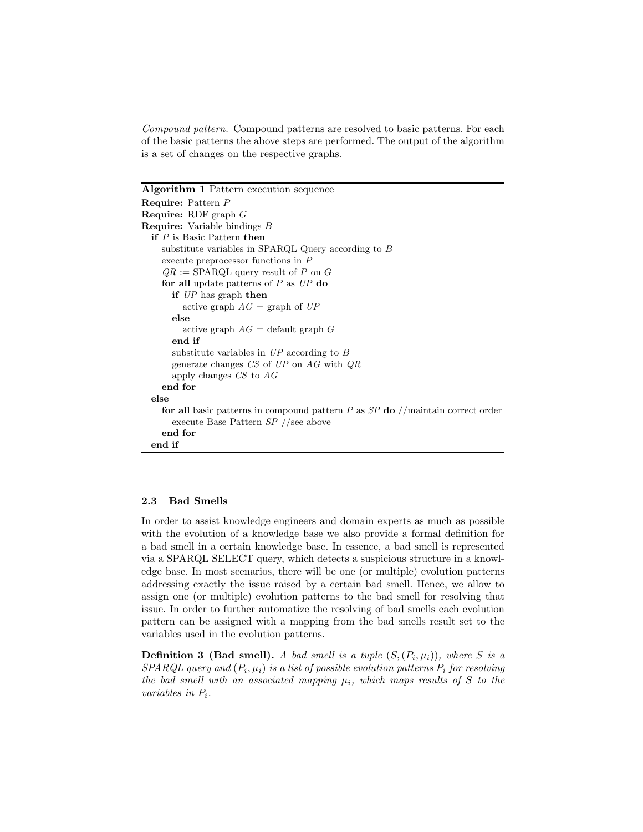Compound pattern. Compound patterns are resolved to basic patterns. For each of the basic patterns the above steps are performed. The output of the algorithm is a set of changes on the respective graphs.

| <b>Algorithm 1</b> Pattern execution sequence                                    |
|----------------------------------------------------------------------------------|
| <b>Require:</b> Pattern P                                                        |
| <b>Require:</b> RDF graph $G$                                                    |
| <b>Require:</b> Variable bindings B                                              |
| <b>if</b> $P$ is Basic Pattern then                                              |
| substitute variables in SPARQL Query according to $B$                            |
| execute preprocessor functions in $P$                                            |
| $QR :=$ SPARQL query result of P on G                                            |
| for all update patterns of $P$ as $UP$ do                                        |
| if $UP$ has graph then                                                           |
| active graph $AG =$ graph of UP                                                  |
| else                                                                             |
| active graph $AG =$ default graph G                                              |
| end if                                                                           |
| substitute variables in $UP$ according to $B$                                    |
| generate changes $CS$ of $UP$ on $AG$ with $QR$                                  |
| apply changes $CS$ to $AG$                                                       |
| end for                                                                          |
| else                                                                             |
| for all basic patterns in compound pattern P as $SP$ do //maintain correct order |
| execute Base Pattern $SP$ //see above                                            |
| end for                                                                          |
| end if                                                                           |

## 2.3 Bad Smells

In order to assist knowledge engineers and domain experts as much as possible with the evolution of a knowledge base we also provide a formal definition for a bad smell in a certain knowledge base. In essence, a bad smell is represented via a SPARQL SELECT query, which detects a suspicious structure in a knowledge base. In most scenarios, there will be one (or multiple) evolution patterns addressing exactly the issue raised by a certain bad smell. Hence, we allow to assign one (or multiple) evolution patterns to the bad smell for resolving that issue. In order to further automatize the resolving of bad smells each evolution pattern can be assigned with a mapping from the bad smells result set to the variables used in the evolution patterns.

**Definition 3 (Bad smell).** A bad smell is a tuple  $(S, (P_i, \mu_i))$ , where S is a  $SPARQL$  query and  $(P_i, \mu_i)$  is a list of possible evolution patterns  $P_i$  for resolving the bad smell with an associated mapping  $\mu_i$ , which maps results of S to the variables in  $P_i$ .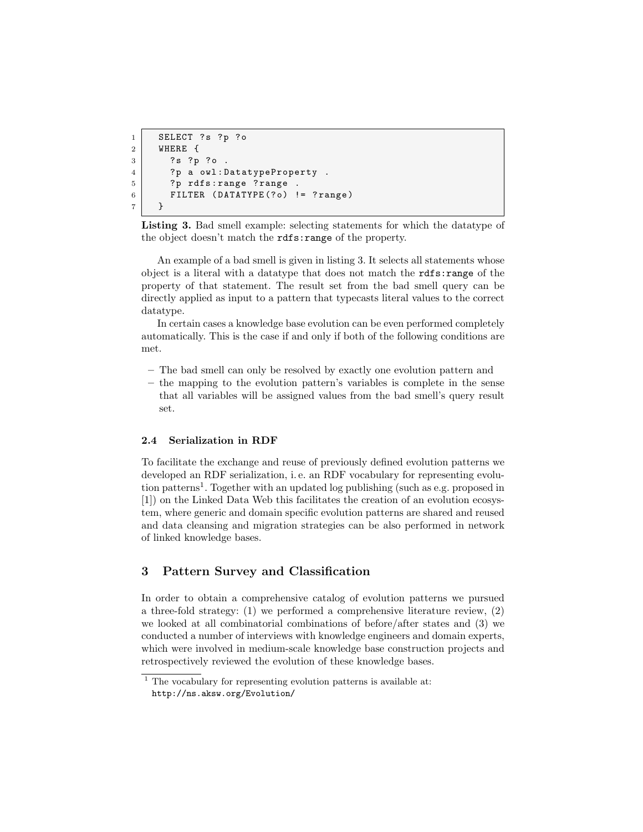```
1 SELECT ? s ? p ? o
2 WHERE {
3 ? 3 ? 3 ? p ? o .
4 7p a owl:DatatypeProperty.
5 7p rdfs: range ? range
6 FILTER (DATATYPE (?o) != ?range)
7 }
```
Listing 3. Bad smell example: selecting statements for which the datatype of the object doesn't match the rdfs:range of the property.

An example of a bad smell is given in listing 3. It selects all statements whose object is a literal with a datatype that does not match the rdfs:range of the property of that statement. The result set from the bad smell query can be directly applied as input to a pattern that typecasts literal values to the correct datatype.

In certain cases a knowledge base evolution can be even performed completely automatically. This is the case if and only if both of the following conditions are met.

- The bad smell can only be resolved by exactly one evolution pattern and
- the mapping to the evolution pattern's variables is complete in the sense that all variables will be assigned values from the bad smell's query result set.

#### 2.4 Serialization in RDF

To facilitate the exchange and reuse of previously defined evolution patterns we developed an RDF serialization, i. e. an RDF vocabulary for representing evolution patterns<sup>1</sup>. Together with an updated log publishing (such as e.g. proposed in [1]) on the Linked Data Web this facilitates the creation of an evolution ecosystem, where generic and domain specific evolution patterns are shared and reused and data cleansing and migration strategies can be also performed in network of linked knowledge bases.

# 3 Pattern Survey and Classification

In order to obtain a comprehensive catalog of evolution patterns we pursued a three-fold strategy: (1) we performed a comprehensive literature review, (2) we looked at all combinatorial combinations of before/after states and (3) we conducted a number of interviews with knowledge engineers and domain experts, which were involved in medium-scale knowledge base construction projects and retrospectively reviewed the evolution of these knowledge bases.

 $1$  The vocabulary for representing evolution patterns is available at: http://ns.aksw.org/Evolution/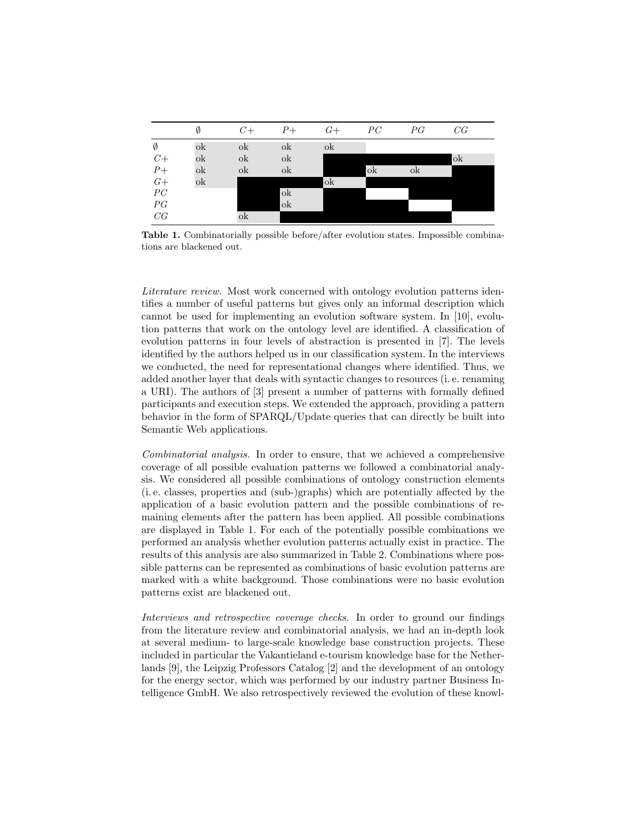|                                        | Ø  | $C+$          | $P+$                     | $G +$ | PC | PG | CG |  |
|----------------------------------------|----|---------------|--------------------------|-------|----|----|----|--|
| Ø                                      | ok | $\alpha$      | ok                       | ok    |    |    |    |  |
| $C+$                                   | ok | $\mathbf{ok}$ | $\alpha$                 |       |    |    | ok |  |
|                                        | ok | ok            | ok                       |       | ok | ok |    |  |
| $P +$<br>$G +$<br>$PC$<br>$PG$<br>$CG$ | ok |               |                          | ok    |    |    |    |  |
|                                        |    |               | $\overline{\mathrm{ok}}$ |       |    |    |    |  |
|                                        |    |               | $\overline{\mathrm{ok}}$ |       |    |    |    |  |
|                                        |    | ok            |                          |       |    |    |    |  |
|                                        |    |               |                          |       |    |    |    |  |

Table 1. Combinatorially possible before/after evolution states. Impossible combinations are blackened out.

Literature review. Most work concerned with ontology evolution patterns identifies a number of useful patterns but gives only an informal description which cannot be used for implementing an evolution software system. In [10], evolution patterns that work on the ontology level are identified. A classification of evolution patterns in four levels of abstraction is presented in [7]. The levels identified by the authors helped us in our classification system. In the interviews we conducted, the need for representational changes where identified. Thus, we added another layer that deals with syntactic changes to resources (i. e. renaming a URI). The authors of [3] present a number of patterns with formally defined participants and execution steps. We extended the approach, providing a pattern behavior in the form of SPARQL/Update queries that can directly be built into Semantic Web applications.

Combinatorial analysis. In order to ensure, that we achieved a comprehensive coverage of all possible evaluation patterns we followed a combinatorial analysis. We considered all possible combinations of ontology construction elements (i. e. classes, properties and (sub-)graphs) which are potentially affected by the application of a basic evolution pattern and the possible combinations of remaining elements after the pattern has been applied. All possible combinations are displayed in Table 1. For each of the potentially possible combinations we performed an analysis whether evolution patterns actually exist in practice. The results of this analysis are also summarized in Table 2. Combinations where possible patterns can be represented as combinations of basic evolution patterns are marked with a white background. Those combinations were no basic evolution patterns exist are blackened out.

Interviews and retrospective coverage checks. In order to ground our findings from the literature review and combinatorial analysis, we had an in-depth look at several medium- to large-scale knowledge base construction projects. These included in particular the Vakantieland e-tourism knowledge base for the Netherlands [9], the Leipzig Professors Catalog [2] and the development of an ontology for the energy sector, which was performed by our industry partner Business Intelligence GmbH. We also retrospectively reviewed the evolution of these knowl-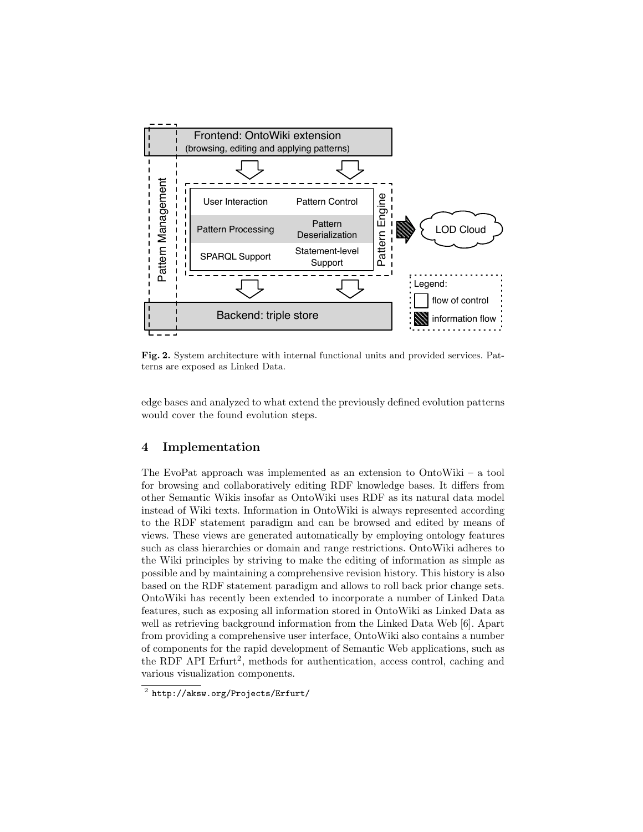

Fig. 2. System architecture with internal functional units and provided services. Patterns are exposed as Linked Data.

edge bases and analyzed to what extend the previously defined evolution patterns would cover the found evolution steps.

# 4 Implementation

The EvoPat approach was implemented as an extension to OntoWiki – a tool for browsing and collaboratively editing RDF knowledge bases. It differs from other Semantic Wikis insofar as OntoWiki uses RDF as its natural data model instead of Wiki texts. Information in OntoWiki is always represented according to the RDF statement paradigm and can be browsed and edited by means of views. These views are generated automatically by employing ontology features such as class hierarchies or domain and range restrictions. OntoWiki adheres to the Wiki principles by striving to make the editing of information as simple as possible and by maintaining a comprehensive revision history. This history is also based on the RDF statement paradigm and allows to roll back prior change sets. OntoWiki has recently been extended to incorporate a number of Linked Data features, such as exposing all information stored in OntoWiki as Linked Data as well as retrieving background information from the Linked Data Web [6]. Apart from providing a comprehensive user interface, OntoWiki also contains a number of components for the rapid development of Semantic Web applications, such as the RDF API Erfurt<sup>2</sup>, methods for authentication, access control, caching and various visualization components.

 $^{\rm 2}$  http://aksw.org/Projects/Erfurt/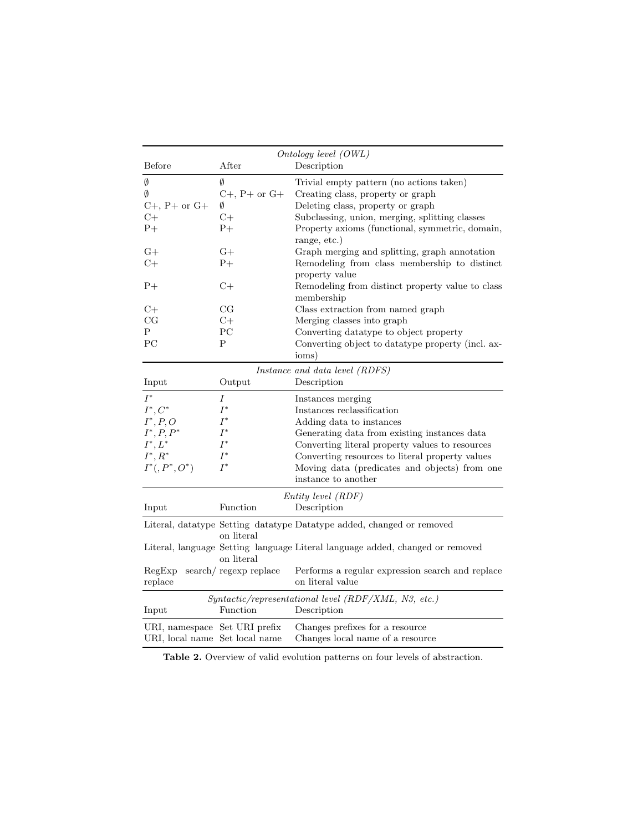| Ontology level (OWL)                                   |                       |                                                                               |  |  |  |
|--------------------------------------------------------|-----------------------|-------------------------------------------------------------------------------|--|--|--|
| Before                                                 | After                 | Description                                                                   |  |  |  |
| Ø                                                      | Ø                     | Trivial empty pattern (no actions taken)                                      |  |  |  |
| Ø                                                      | $C+, P+$ or $G+$      | Creating class, property or graph                                             |  |  |  |
| $C+, P+$ or $G+$                                       | Ø                     | Deleting class, property or graph                                             |  |  |  |
| $C+$                                                   | $C+$                  | Subclassing, union, merging, splitting classes                                |  |  |  |
| $P+$                                                   | $P+$                  | Property axioms (functional, symmetric, domain,                               |  |  |  |
|                                                        |                       | range, etc.)                                                                  |  |  |  |
| $G+$                                                   | $G+$                  | Graph merging and splitting, graph annotation                                 |  |  |  |
| $C+$                                                   | $P+$                  | Remodeling from class membership to distinct                                  |  |  |  |
|                                                        |                       | property value                                                                |  |  |  |
| $P+$                                                   | $C+$                  | Remodeling from distinct property value to class                              |  |  |  |
|                                                        |                       | membership                                                                    |  |  |  |
| $C+$                                                   | CG                    | Class extraction from named graph                                             |  |  |  |
| $_{\rm CG}$                                            | $C+$                  | Merging classes into graph                                                    |  |  |  |
| P                                                      | PC                    | Converting data type to object property                                       |  |  |  |
| PC                                                     | P                     | Converting object to data type property (incl. ax-                            |  |  |  |
|                                                        |                       | ioms)                                                                         |  |  |  |
| Instance and data level (RDFS)                         |                       |                                                                               |  |  |  |
| Input                                                  | Output                | Description                                                                   |  |  |  |
|                                                        |                       |                                                                               |  |  |  |
| $I^*$                                                  | Ι                     | Instances merging                                                             |  |  |  |
| $I^*, C^*$                                             | $I^*$                 | Instances reclassification                                                    |  |  |  |
| $I^*, P, O$                                            | $I^\ast$              | Adding data to instances                                                      |  |  |  |
| $I^*, P, P^*$                                          | $I^*$                 | Generating data from existing instances data                                  |  |  |  |
| $I^*, L^*$                                             | $I^*$                 | Converting literal property values to resources                               |  |  |  |
| $I^*, R^*$                                             | $I^*$                 | Converting resources to literal property values                               |  |  |  |
| $I^*(,P^*,O^*)$                                        | $I^*$                 | Moving data (predicates and objects) from one                                 |  |  |  |
|                                                        |                       | instance to another                                                           |  |  |  |
|                                                        |                       | <i>Entity level (RDF)</i>                                                     |  |  |  |
| Input                                                  | Function              | Description                                                                   |  |  |  |
|                                                        |                       | Literal, datatype Setting datatype Datatype added, changed or removed         |  |  |  |
|                                                        | on literal            |                                                                               |  |  |  |
|                                                        |                       | Literal, language Setting language Literal language added, changed or removed |  |  |  |
|                                                        | on literal            |                                                                               |  |  |  |
| RegExp                                                 | search/regexp replace | Performs a regular expression search and replace                              |  |  |  |
| replace                                                |                       | on literal value                                                              |  |  |  |
| $Syntactic/representational level (RDF/XML, N3, etc.)$ |                       |                                                                               |  |  |  |
| Input                                                  | Function              | Description                                                                   |  |  |  |
|                                                        |                       |                                                                               |  |  |  |
| URI, namespace Set URI prefix                          |                       | Changes prefixes for a resource                                               |  |  |  |
| URI, local name Set local name                         |                       | Changes local name of a resource                                              |  |  |  |

Table 2. Overview of valid evolution patterns on four levels of abstraction.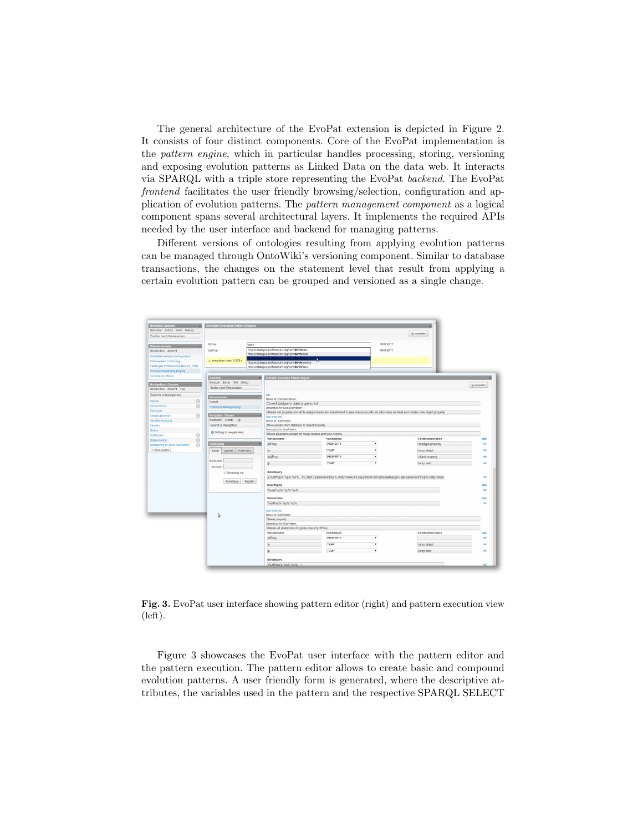The general architecture of the EvoPat extension is depicted in Figure 2. It consists of four distinct components. Core of the EvoPat implementation is the pattern engine, which in particular handles processing, storing, versioning and exposing evolution patterns as Linked Data on the data web. It interacts via SPARQL with a triple store representing the EvoPat backend. The EvoPat frontend facilitates the user friendly browsing/selection, configuration and application of evolution patterns. The pattern management component as a logical component spans several architectural layers. It implements the required APIs needed by the user interface and backend for managing patterns.

Different versions of ontologies resulting from applying evolution patterns can be managed through OntoWiki's versioning component. Similar to database transactions, the changes on the statement level that result from applying a certain evolution pattern can be grouped and versioned as a single change.

| Suche nach Ressourcen                     |                                        |                                                   |                                                                                                                                                                 |          | & savepattern       |               |  |
|-------------------------------------------|----------------------------------------|---------------------------------------------------|-----------------------------------------------------------------------------------------------------------------------------------------------------------------|----------|---------------------|---------------|--|
|                                           |                                        |                                                   |                                                                                                                                                                 |          |                     |               |  |
| Wissensbasen                              | dtProp                                 | birth                                             |                                                                                                                                                                 | PROPERTY |                     |               |  |
| Bearbeiten Ansicht                        | objProp                                | http://catalogus-professorum.org/cpm/birthDate    |                                                                                                                                                                 | PROPERTY |                     |               |  |
| <b>OntoWiki System Configuration</b>      |                                        | http://catalogus-professorum.org/cpm/birthState   |                                                                                                                                                                 |          |                     |               |  |
| Philosopher's Ontology                    | execution took: 0.503 s                |                                                   |                                                                                                                                                                 |          |                     |               |  |
| Catalogus Professorum Modell (CPM)        |                                        | http://catalogus-professorum.org/cpm/birthPlace   | http://catalogus-professorum.org/cpm/birthCountry                                                                                                               |          |                     |               |  |
| Professorenkatalog Leipzig                |                                        |                                                   |                                                                                                                                                                 |          |                     |               |  |
| <b>Conference Model</b>                   |                                        |                                                   |                                                                                                                                                                 |          |                     |               |  |
|                                           | <b>OntoWiki</b>                        | <b>OntoWiki Evolution Pattern Engine</b>          |                                                                                                                                                                 |          |                     |               |  |
| <b>Navigation: Classes</b>                | Benutzer Extras Hilfe Debug            |                                                   |                                                                                                                                                                 |          |                     | & savepations |  |
| Bearbeiten Ansicht Typ                    | Suche nach Ressourcen                  |                                                   |                                                                                                                                                                 |          |                     |               |  |
| Search in Navigation                      |                                        | add                                               |                                                                                                                                                                 |          |                     |               |  |
| ø<br>Person                               | Wissensbasen<br>Ansight                | Name for ComplexPattern:                          |                                                                                                                                                                 |          |                     |               |  |
| Ø<br>Körperschaft                         |                                        | Convert datatype to object property - full        |                                                                                                                                                                 |          |                     |               |  |
| Vorname                                   | Professorenkatalog Leipzig             | Description for ComplexPattern:                   |                                                                                                                                                                 |          |                     |               |  |
| ø<br>Lebensabschnitt                      | <b>Navigation: Classes</b>             | <b>O</b>                                          | Deletes old property and all its assignements are transformed to new resources with old data value as label and creates new object property                     |          |                     |               |  |
| Veröffentlichung                          | Bearbeiten Ansicht Typ                 | hide show del<br>Name for SubPattern:             |                                                                                                                                                                 |          |                     |               |  |
| Familie                                   | Search in Navigation                   | Move axioms from datatype to object property      |                                                                                                                                                                 |          |                     |               |  |
| Query                                     |                                        | Description for SubPattern:                       |                                                                                                                                                                 |          |                     |               |  |
| ø<br>Institution                          | <sup>1</sup> Nothing to navigate here. |                                                   | Moves all axioms except for range axioms and type axioms                                                                                                        |          |                     |               |  |
| $\circ$<br>Organisation                   |                                        | Variablename                                      | Variabletype                                                                                                                                                    |          | Variabledescription | add           |  |
| $\circ$<br>Beziehung zu einer Institution | Anmeldur                               | dtProp                                            | PROPERTY                                                                                                                                                        | ٠        | datatype property   | del           |  |
| v Show Me More                            |                                        |                                                   | TEMP                                                                                                                                                            |          |                     | de            |  |
|                                           | OpenID FOAF+SSL<br>Local               | $\circ$                                           |                                                                                                                                                                 |          | temp object         |               |  |
|                                           |                                        | objProp                                           | PROPERTY                                                                                                                                                        | ٠        | object property     | del           |  |
|                                           | Benutzema                              | $\mathsf{P}$                                      | TEMP                                                                                                                                                            |          | temp pred           | dol           |  |
|                                           | Kenrwort                               |                                                   |                                                                                                                                                                 |          |                     |               |  |
| Selectquery<br>Remember me                |                                        |                                                   |                                                                                                                                                                 |          |                     |               |  |
|                                           |                                        |                                                   | {%dtProp%%p%%o%.FILTER (!sameTerm(%p%, <http: 01="" 2000="" rdf-schema#range="" www.w3.org="">) &amp;&amp; !sameTerm(%p%,<http: td="" www.<=""></http:></http:> |          |                     |               |  |
|                                           | Anmeldung                              | Register                                          |                                                                                                                                                                 |          |                     |               |  |
|                                           |                                        | Inserttriples                                     |                                                                                                                                                                 |          |                     | add           |  |
|                                           |                                        | %objProp% %p% %o%                                 |                                                                                                                                                                 |          |                     | de            |  |
|                                           |                                        | Deletetriples                                     |                                                                                                                                                                 |          |                     | add           |  |
|                                           |                                        | %dtProp% %p% %o%                                  |                                                                                                                                                                 |          |                     | do            |  |
|                                           |                                        |                                                   |                                                                                                                                                                 |          |                     |               |  |
|                                           |                                        | hide show del                                     |                                                                                                                                                                 |          |                     |               |  |
|                                           | r,                                     | Name for SubPattern:<br>Delete property           |                                                                                                                                                                 |          |                     |               |  |
|                                           |                                        | Description for SubPattern:                       |                                                                                                                                                                 |          |                     |               |  |
|                                           |                                        | Deletes all statements for given property dtProp. |                                                                                                                                                                 |          |                     |               |  |
|                                           |                                        | Variablename                                      | Variabletype                                                                                                                                                    |          | Variabledescription | add           |  |
|                                           |                                        | dtProp                                            | PROPERTY                                                                                                                                                        | ٠        |                     | do            |  |
|                                           |                                        |                                                   |                                                                                                                                                                 |          |                     |               |  |
|                                           |                                        | $\circ$                                           | TEMP                                                                                                                                                            | ۰        | temp object         | del           |  |
|                                           |                                        | $\mathsf{p}$                                      | TEMP                                                                                                                                                            | ۰        | temp pred           | del           |  |
|                                           |                                        |                                                   |                                                                                                                                                                 |          |                     |               |  |
|                                           |                                        | Selectquery                                       |                                                                                                                                                                 |          |                     |               |  |

Fig. 3. EvoPat user interface showing pattern editor (right) and pattern execution view (left).

Figure 3 showcases the EvoPat user interface with the pattern editor and the pattern execution. The pattern editor allows to create basic and compound evolution patterns. A user friendly form is generated, where the descriptive attributes, the variables used in the pattern and the respective SPARQL SELECT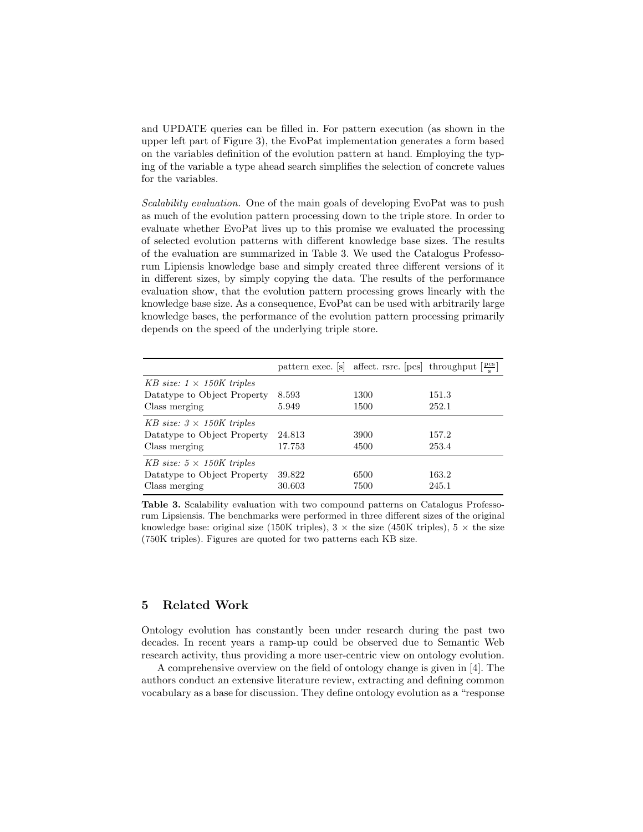and UPDATE queries can be filled in. For pattern execution (as shown in the upper left part of Figure 3), the EvoPat implementation generates a form based on the variables definition of the evolution pattern at hand. Employing the typing of the variable a type ahead search simplifies the selection of concrete values for the variables.

Scalability evaluation. One of the main goals of developing EvoPat was to push as much of the evolution pattern processing down to the triple store. In order to evaluate whether EvoPat lives up to this promise we evaluated the processing of selected evolution patterns with different knowledge base sizes. The results of the evaluation are summarized in Table 3. We used the Catalogus Professorum Lipiensis knowledge base and simply created three different versions of it in different sizes, by simply copying the data. The results of the performance evaluation show, that the evolution pattern processing grows linearly with the knowledge base size. As a consequence, EvoPat can be used with arbitrarily large knowledge bases, the performance of the evolution pattern processing primarily depends on the speed of the underlying triple store.

|                                  |        | pattern exec. [s] affect. rsrc. [pcs] throughput $\left[\frac{\text{pcs}}{s}\right]$ |       |
|----------------------------------|--------|--------------------------------------------------------------------------------------|-------|
| KB size: $1 \times 150K$ triples |        |                                                                                      |       |
| Datatype to Object Property      | 8.593  | 1300                                                                                 | 151.3 |
| Class merging                    | 5.949  | 1500                                                                                 | 252.1 |
| KB size: $3 \times 150K$ triples |        |                                                                                      |       |
| Datatype to Object Property      | 24.813 | 3900                                                                                 | 157.2 |
| Class merging                    | 17.753 | 4500                                                                                 | 253.4 |
| KB size: $5 \times 150K$ triples |        |                                                                                      |       |
| Datatype to Object Property      | 39.822 | 6500                                                                                 | 163.2 |
| Class merging                    | 30.603 | 7500                                                                                 | 245.1 |

Table 3. Scalability evaluation with two compound patterns on Catalogus Professorum Lipsiensis. The benchmarks were performed in three different sizes of the original knowledge base: original size (150K triples),  $3 \times$  the size (450K triples),  $5 \times$  the size (750K triples). Figures are quoted for two patterns each KB size.

# 5 Related Work

Ontology evolution has constantly been under research during the past two decades. In recent years a ramp-up could be observed due to Semantic Web research activity, thus providing a more user-centric view on ontology evolution.

A comprehensive overview on the field of ontology change is given in [4]. The authors conduct an extensive literature review, extracting and defining common vocabulary as a base for discussion. They define ontology evolution as a "response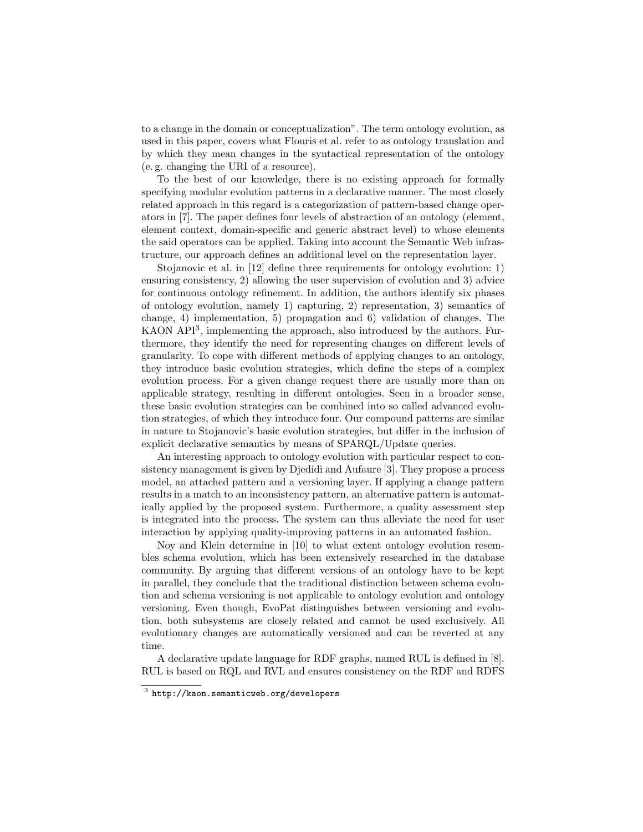to a change in the domain or conceptualization". The term ontology evolution, as used in this paper, covers what Flouris et al. refer to as ontology translation and by which they mean changes in the syntactical representation of the ontology (e. g. changing the URI of a resource).

To the best of our knowledge, there is no existing approach for formally specifying modular evolution patterns in a declarative manner. The most closely related approach in this regard is a categorization of pattern-based change operators in [7]. The paper defines four levels of abstraction of an ontology (element, element context, domain-specific and generic abstract level) to whose elements the said operators can be applied. Taking into account the Semantic Web infrastructure, our approach defines an additional level on the representation layer.

Stojanovic et al. in [12] define three requirements for ontology evolution: 1) ensuring consistency, 2) allowing the user supervision of evolution and 3) advice for continuous ontology refinement. In addition, the authors identify six phases of ontology evolution, namely 1) capturing, 2) representation, 3) semantics of change, 4) implementation, 5) propagation and 6) validation of changes. The KAON API<sup>3</sup> , implementing the approach, also introduced by the authors. Furthermore, they identify the need for representing changes on different levels of granularity. To cope with different methods of applying changes to an ontology, they introduce basic evolution strategies, which define the steps of a complex evolution process. For a given change request there are usually more than on applicable strategy, resulting in different ontologies. Seen in a broader sense, these basic evolution strategies can be combined into so called advanced evolution strategies, of which they introduce four. Our compound patterns are similar in nature to Stojanovic's basic evolution strategies, but differ in the inclusion of explicit declarative semantics by means of SPARQL/Update queries.

An interesting approach to ontology evolution with particular respect to consistency management is given by Djedidi and Aufaure [3]. They propose a process model, an attached pattern and a versioning layer. If applying a change pattern results in a match to an inconsistency pattern, an alternative pattern is automatically applied by the proposed system. Furthermore, a quality assessment step is integrated into the process. The system can thus alleviate the need for user interaction by applying quality-improving patterns in an automated fashion.

Noy and Klein determine in [10] to what extent ontology evolution resembles schema evolution, which has been extensively researched in the database community. By arguing that different versions of an ontology have to be kept in parallel, they conclude that the traditional distinction between schema evolution and schema versioning is not applicable to ontology evolution and ontology versioning. Even though, EvoPat distinguishes between versioning and evolution, both subsystems are closely related and cannot be used exclusively. All evolutionary changes are automatically versioned and can be reverted at any time.

A declarative update language for RDF graphs, named RUL is defined in [8]. RUL is based on RQL and RVL and ensures consistency on the RDF and RDFS

 $^3$  http://kaon.semanticweb.org/developers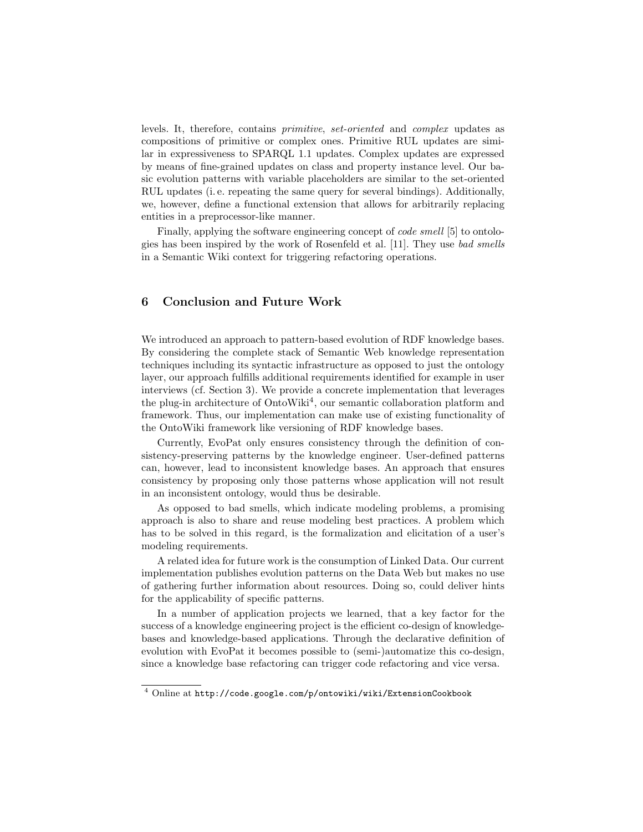levels. It, therefore, contains primitive, set-oriented and complex updates as compositions of primitive or complex ones. Primitive RUL updates are similar in expressiveness to SPARQL 1.1 updates. Complex updates are expressed by means of fine-grained updates on class and property instance level. Our basic evolution patterns with variable placeholders are similar to the set-oriented RUL updates (i. e. repeating the same query for several bindings). Additionally, we, however, define a functional extension that allows for arbitrarily replacing entities in a preprocessor-like manner.

Finally, applying the software engineering concept of code smell [5] to ontologies has been inspired by the work of Rosenfeld et al. [11]. They use bad smells in a Semantic Wiki context for triggering refactoring operations.

# 6 Conclusion and Future Work

We introduced an approach to pattern-based evolution of RDF knowledge bases. By considering the complete stack of Semantic Web knowledge representation techniques including its syntactic infrastructure as opposed to just the ontology layer, our approach fulfills additional requirements identified for example in user interviews (cf. Section 3). We provide a concrete implementation that leverages the plug-in architecture of OntoWiki<sup>4</sup>, our semantic collaboration platform and framework. Thus, our implementation can make use of existing functionality of the OntoWiki framework like versioning of RDF knowledge bases.

Currently, EvoPat only ensures consistency through the definition of consistency-preserving patterns by the knowledge engineer. User-defined patterns can, however, lead to inconsistent knowledge bases. An approach that ensures consistency by proposing only those patterns whose application will not result in an inconsistent ontology, would thus be desirable.

As opposed to bad smells, which indicate modeling problems, a promising approach is also to share and reuse modeling best practices. A problem which has to be solved in this regard, is the formalization and elicitation of a user's modeling requirements.

A related idea for future work is the consumption of Linked Data. Our current implementation publishes evolution patterns on the Data Web but makes no use of gathering further information about resources. Doing so, could deliver hints for the applicability of specific patterns.

In a number of application projects we learned, that a key factor for the success of a knowledge engineering project is the efficient co-design of knowledgebases and knowledge-based applications. Through the declarative definition of evolution with EvoPat it becomes possible to (semi-)automatize this co-design, since a knowledge base refactoring can trigger code refactoring and vice versa.

<sup>4</sup> Online at http://code.google.com/p/ontowiki/wiki/ExtensionCookbook